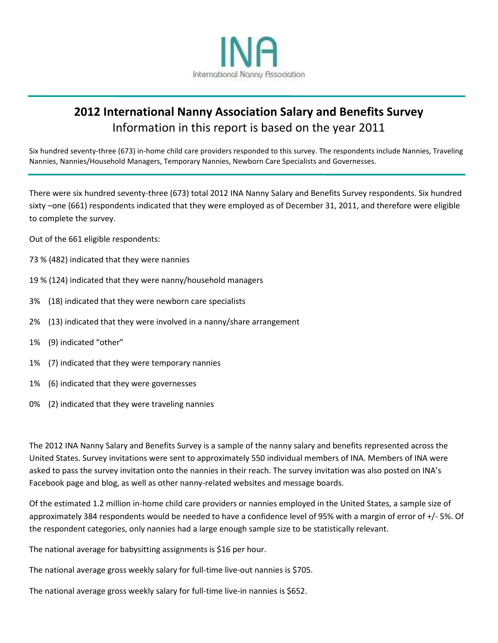

# **2012 International Nanny Association Salary and Benefits Survey** Information in this report is based on the year 2011

Six hundred seventy-three (673) in-home child care providers responded to this survey. The respondents include Nannies, Traveling Nannies, Nannies/Household Managers, Temporary Nannies, Newborn Care Specialists and Governesses.

There were six hundred seventy-three (673) total 2012 INA Nanny Salary and Benefits Survey respondents. Six hundred sixty –one (661) respondents indicated that they were employed as of December 31, 2011, and therefore were eligible to complete the survey.

Out of the 661 eligible respondents:

- 73 % (482) indicated that they were nannies
- 19 % (124) indicated that they were nanny/household managers
- 3% (18) indicated that they were newborn care specialists
- 2% (13) indicated that they were involved in a nanny/share arrangement
- 1% (9) indicated "other"
- 1% (7) indicated that they were temporary nannies
- 1% (6) indicated that they were governesses
- 0% (2) indicated that they were traveling nannies

The 2012 INA Nanny Salary and Benefits Survey is a sample of the nanny salary and benefits represented across the United States. Survey invitations were sent to approximately 550 individual members of INA. Members of INA were asked to pass the survey invitation onto the nannies in their reach. The survey invitation was also posted on INA's Facebook page and blog, as well as other nanny-related websites and message boards.

Of the estimated 1.2 million in-home child care providers or nannies employed in the United States, a sample size of approximately 384 respondents would be needed to have a confidence level of 95% with a margin of error of +/- 5%. Of the respondent categories, only nannies had a large enough sample size to be statistically relevant.

The national average for babysitting assignments is \$16 per hour.

The national average gross weekly salary for full-time live-out nannies is \$705.

The national average gross weekly salary for full-time live-in nannies is \$652.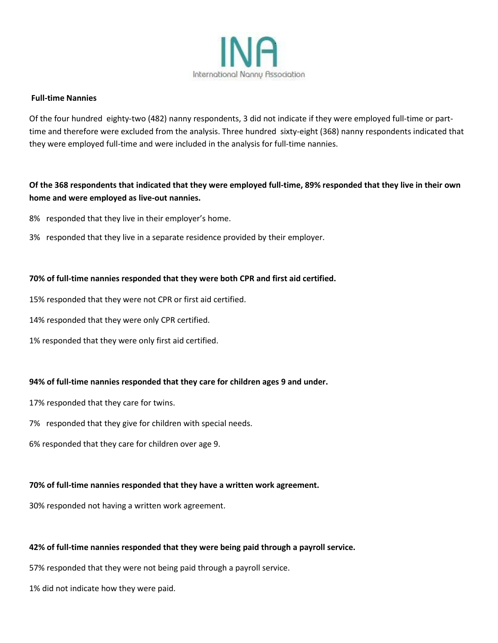

### **Full-time Nannies**

Of the four hundred eighty-two (482) nanny respondents, 3 did not indicate if they were employed full-time or parttime and therefore were excluded from the analysis. Three hundred sixty-eight (368) nanny respondents indicated that they were employed full-time and were included in the analysis for full-time nannies.

# **Of the 368 respondents that indicated that they were employed full-time, 89% responded that they live in their own home and were employed as live-out nannies.**

- 8% responded that they live in their employer's home.
- 3% responded that they live in a separate residence provided by their employer.

## **70% of full-time nannies responded that they were both CPR and first aid certified.**

- 15% responded that they were not CPR or first aid certified.
- 14% responded that they were only CPR certified.
- 1% responded that they were only first aid certified.

# **94% of full-time nannies responded that they care for children ages 9 and under.**

- 17% responded that they care for twins.
- 7% responded that they give for children with special needs.
- 6% responded that they care for children over age 9.

# **70% of full-time nannies responded that they have a written work agreement.**

30% responded not having a written work agreement.

# **42% of full-time nannies responded that they were being paid through a payroll service.**

57% responded that they were not being paid through a payroll service.

1% did not indicate how they were paid.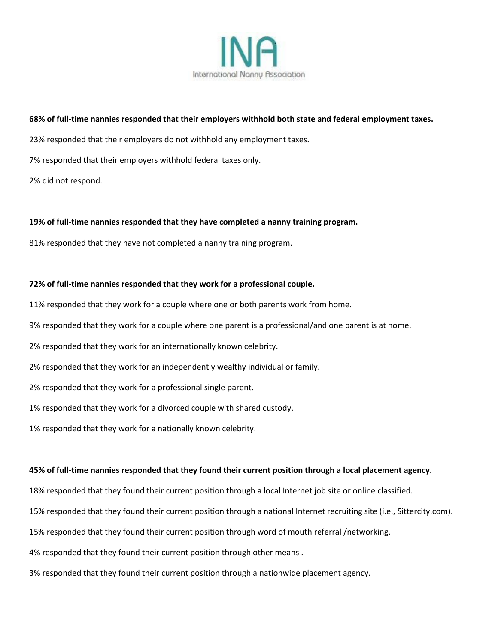

## **68% of full-time nannies responded that their employers withhold both state and federal employment taxes.**

23% responded that their employers do not withhold any employment taxes.

7% responded that their employers withhold federal taxes only.

2% did not respond.

## **19% of full-time nannies responded that they have completed a nanny training program.**

81% responded that they have not completed a nanny training program.

## **72% of full-time nannies responded that they work for a professional couple.**

11% responded that they work for a couple where one or both parents work from home.

9% responded that they work for a couple where one parent is a professional/and one parent is at home.

2% responded that they work for an internationally known celebrity.

2% responded that they work for an independently wealthy individual or family.

2% responded that they work for a professional single parent.

1% responded that they work for a divorced couple with shared custody.

1% responded that they work for a nationally known celebrity.

## **45% of full-time nannies responded that they found their current position through a local placement agency.**

18% responded that they found their current position through a local Internet job site or online classified.

15% responded that they found their current position through a national Internet recruiting site (i.e., Sittercity.com).

15% responded that they found their current position through word of mouth referral /networking.

4% responded that they found their current position through other means .

3% responded that they found their current position through a nationwide placement agency.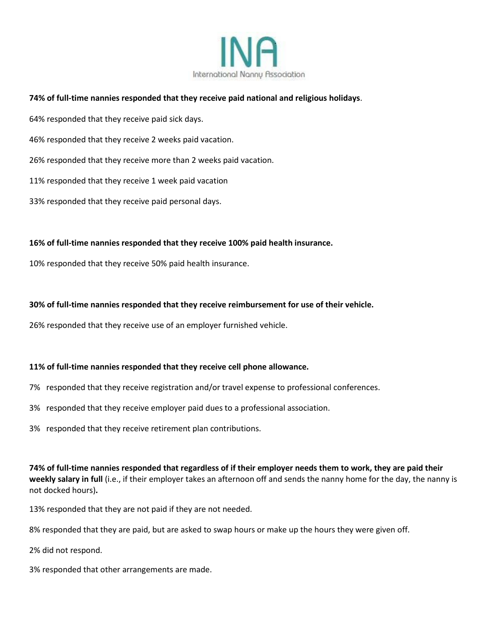

## **74% of full-time nannies responded that they receive paid national and religious holidays**.

64% responded that they receive paid sick days.

46% responded that they receive 2 weeks paid vacation.

26% responded that they receive more than 2 weeks paid vacation.

11% responded that they receive 1 week paid vacation

33% responded that they receive paid personal days.

#### **16% of full-time nannies responded that they receive 100% paid health insurance.**

10% responded that they receive 50% paid health insurance.

#### **30% of full-time nannies responded that they receive reimbursement for use of their vehicle.**

26% responded that they receive use of an employer furnished vehicle.

## **11% of full-time nannies responded that they receive cell phone allowance.**

- 7% responded that they receive registration and/or travel expense to professional conferences.
- 3% responded that they receive employer paid dues to a professional association.
- 3% responded that they receive retirement plan contributions.

**74% of full-time nannies responded that regardless of if their employer needs them to work, they are paid their weekly salary in full** (i.e., if their employer takes an afternoon off and sends the nanny home for the day, the nanny is not docked hours)**.**

13% responded that they are not paid if they are not needed.

8% responded that they are paid, but are asked to swap hours or make up the hours they were given off.

2% did not respond.

3% responded that other arrangements are made.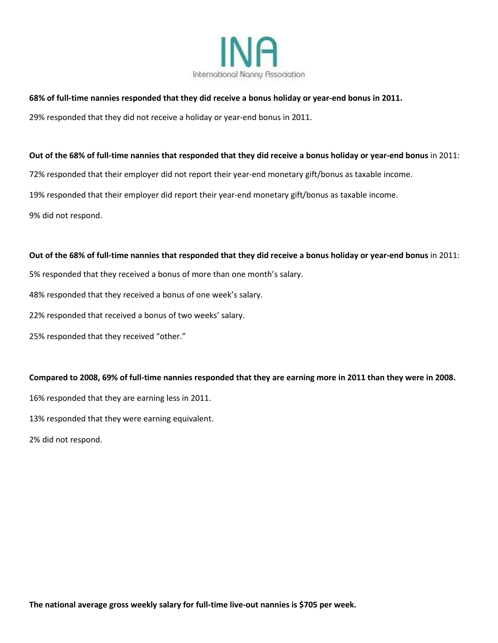

## **68% of full-time nannies responded that they did receive a bonus holiday or year-end bonus in 2011.**

29% responded that they did not receive a holiday or year-end bonus in 2011.

## **Out of the 68% of full-time nannies that responded that they did receive a bonus holiday or year-end bonus** in 2011:

72% responded that their employer did not report their year-end monetary gift/bonus as taxable income.

19% responded that their employer did report their year-end monetary gift/bonus as taxable income.

9% did not respond.

## **Out of the 68% of full-time nannies that responded that they did receive a bonus holiday or year-end bonus** in 2011:

5% responded that they received a bonus of more than one month's salary.

48% responded that they received a bonus of one week's salary.

22% responded that received a bonus of two weeks' salary.

25% responded that they received "other."

## **Compared to 2008, 69% of full-time nannies responded that they are earning more in 2011 than they were in 2008.**

16% responded that they are earning less in 2011.

13% responded that they were earning equivalent.

2% did not respond.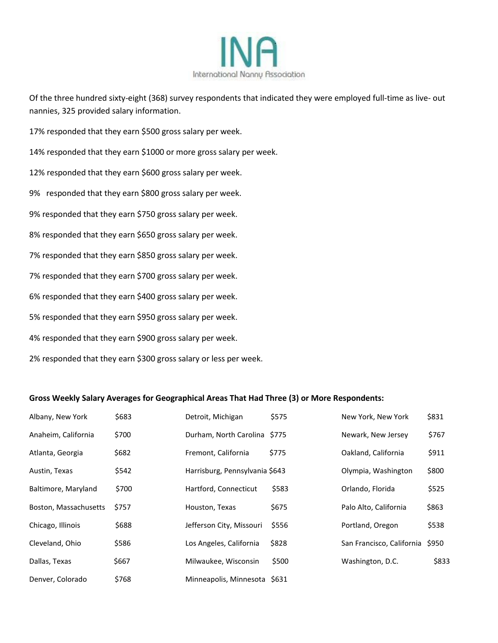

Of the three hundred sixty-eight (368) survey respondents that indicated they were employed full-time as live- out nannies, 325 provided salary information.

17% responded that they earn \$500 gross salary per week.

14% responded that they earn \$1000 or more gross salary per week.

- 12% responded that they earn \$600 gross salary per week.
- 9% responded that they earn \$800 gross salary per week.

9% responded that they earn \$750 gross salary per week.

8% responded that they earn \$650 gross salary per week.

7% responded that they earn \$850 gross salary per week.

7% responded that they earn \$700 gross salary per week.

6% responded that they earn \$400 gross salary per week.

5% responded that they earn \$950 gross salary per week.

4% responded that they earn \$900 gross salary per week.

2% responded that they earn \$300 gross salary or less per week.

#### **Gross Weekly Salary Averages for Geographical Areas That Had Three (3) or More Respondents:**

| Albany, New York      | \$683 | Detroit, Michigan              | \$575       | New York, New York        | \$831 |
|-----------------------|-------|--------------------------------|-------------|---------------------------|-------|
| Anaheim, California   | \$700 | Durham, North Carolina         | <b>S775</b> | Newark, New Jersey        | \$767 |
| Atlanta, Georgia      | \$682 | Fremont, California            | \$775       | Oakland, California       | \$911 |
| Austin, Texas         | \$542 | Harrisburg, Pennsylvania \$643 |             | Olympia, Washington       | \$800 |
| Baltimore, Maryland   | \$700 | Hartford, Connecticut          | \$583       | Orlando, Florida          | \$525 |
| Boston, Massachusetts | \$757 | Houston, Texas                 | \$675       | Palo Alto, California     | \$863 |
| Chicago, Illinois     | \$688 | Jefferson City, Missouri       | \$556       | Portland, Oregon          | \$538 |
| Cleveland, Ohio       | \$586 | Los Angeles, California        | \$828       | San Francisco, California | \$950 |
| Dallas, Texas         | \$667 | Milwaukee, Wisconsin           | \$500       | Washington, D.C.          | \$833 |
| Denver, Colorado      | \$768 | Minneapolis, Minnesota \$631   |             |                           |       |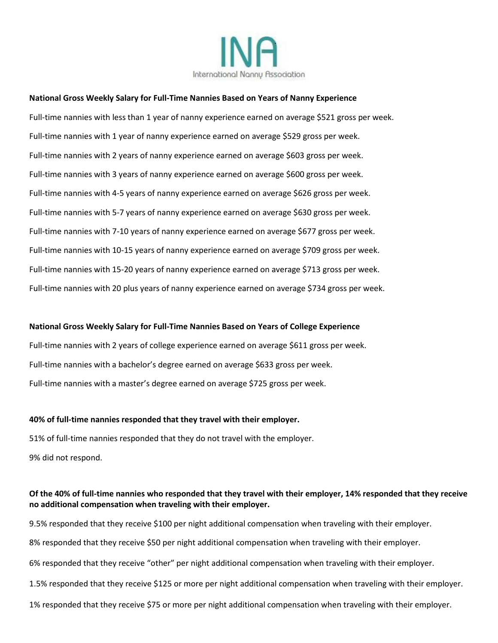

#### **National Gross Weekly Salary for Full-Time Nannies Based on Years of Nanny Experience**

Full-time nannies with less than 1 year of nanny experience earned on average \$521 gross per week. Full-time nannies with 1 year of nanny experience earned on average \$529 gross per week. Full-time nannies with 2 years of nanny experience earned on average \$603 gross per week. Full-time nannies with 3 years of nanny experience earned on average \$600 gross per week. Full-time nannies with 4-5 years of nanny experience earned on average \$626 gross per week. Full-time nannies with 5-7 years of nanny experience earned on average \$630 gross per week. Full-time nannies with 7-10 years of nanny experience earned on average \$677 gross per week. Full-time nannies with 10-15 years of nanny experience earned on average \$709 gross per week. Full-time nannies with 15-20 years of nanny experience earned on average \$713 gross per week. Full-time nannies with 20 plus years of nanny experience earned on average \$734 gross per week.

#### **National Gross Weekly Salary for Full-Time Nannies Based on Years of College Experience**

Full-time nannies with 2 years of college experience earned on average \$611 gross per week. Full-time nannies with a bachelor's degree earned on average \$633 gross per week. Full-time nannies with a master's degree earned on average \$725 gross per week.

#### **40% of full-time nannies responded that they travel with their employer.**

51% of full-time nannies responded that they do not travel with the employer. 9% did not respond.

## **Of the 40% of full-time nannies who responded that they travel with their employer, 14% responded that they receive no additional compensation when traveling with their employer.**

9.5% responded that they receive \$100 per night additional compensation when traveling with their employer. 8% responded that they receive \$50 per night additional compensation when traveling with their employer. 6% responded that they receive "other" per night additional compensation when traveling with their employer. 1.5% responded that they receive \$125 or more per night additional compensation when traveling with their employer. 1% responded that they receive \$75 or more per night additional compensation when traveling with their employer.